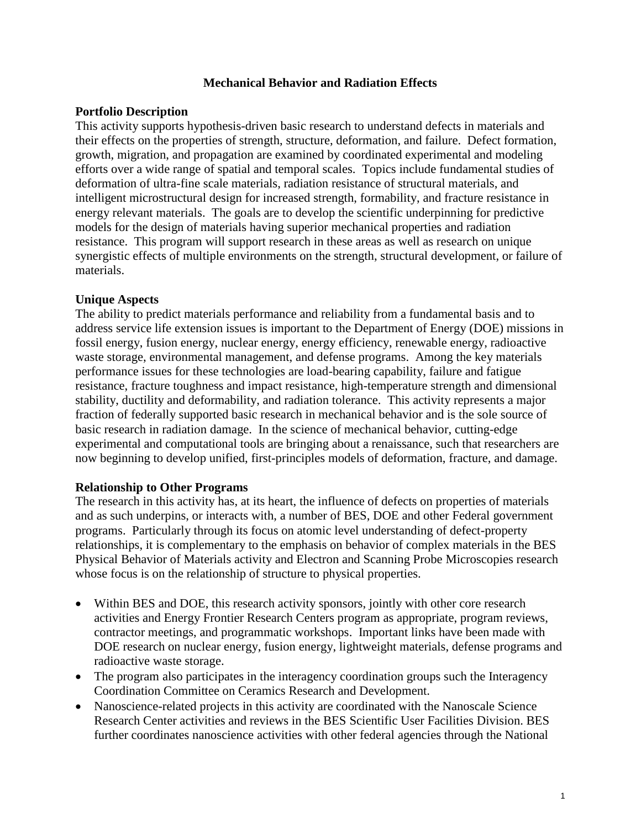### **Mechanical Behavior and Radiation Effects**

## **Portfolio Description**

This activity supports hypothesis-driven basic research to understand defects in materials and their effects on the properties of strength, structure, deformation, and failure. Defect formation, growth, migration, and propagation are examined by coordinated experimental and modeling efforts over a wide range of spatial and temporal scales. Topics include fundamental studies of deformation of ultra-fine scale materials, radiation resistance of structural materials, and intelligent microstructural design for increased strength, formability, and fracture resistance in energy relevant materials. The goals are to develop the scientific underpinning for predictive models for the design of materials having superior mechanical properties and radiation resistance. This program will support research in these areas as well as research on unique synergistic effects of multiple environments on the strength, structural development, or failure of materials.

## **Unique Aspects**

The ability to predict materials performance and reliability from a fundamental basis and to address service life extension issues is important to the Department of Energy (DOE) missions in fossil energy, fusion energy, nuclear energy, energy efficiency, renewable energy, radioactive waste storage, environmental management, and defense programs. Among the key materials performance issues for these technologies are load-bearing capability, failure and fatigue resistance, fracture toughness and impact resistance, high-temperature strength and dimensional stability, ductility and deformability, and radiation tolerance. This activity represents a major fraction of federally supported basic research in mechanical behavior and is the sole source of basic research in radiation damage. In the science of mechanical behavior, cutting-edge experimental and computational tools are bringing about a renaissance, such that researchers are now beginning to develop unified, first-principles models of deformation, fracture, and damage.

### **Relationship to Other Programs**

The research in this activity has, at its heart, the influence of defects on properties of materials and as such underpins, or interacts with, a number of BES, DOE and other Federal government programs. Particularly through its focus on atomic level understanding of defect-property relationships, it is complementary to the emphasis on behavior of complex materials in the BES Physical Behavior of Materials activity and Electron and Scanning Probe Microscopies research whose focus is on the relationship of structure to physical properties.

- Within BES and DOE, this research activity sponsors, jointly with other core research activities and Energy Frontier Research Centers program as appropriate, program reviews, contractor meetings, and programmatic workshops. Important links have been made with DOE research on nuclear energy, fusion energy, lightweight materials, defense programs and radioactive waste storage.
- The program also participates in the interagency coordination groups such the Interagency Coordination Committee on Ceramics Research and Development.
- Nanoscience-related projects in this activity are coordinated with the Nanoscale Science Research Center activities and reviews in the BES Scientific User Facilities Division. BES further coordinates nanoscience activities with other federal agencies through the National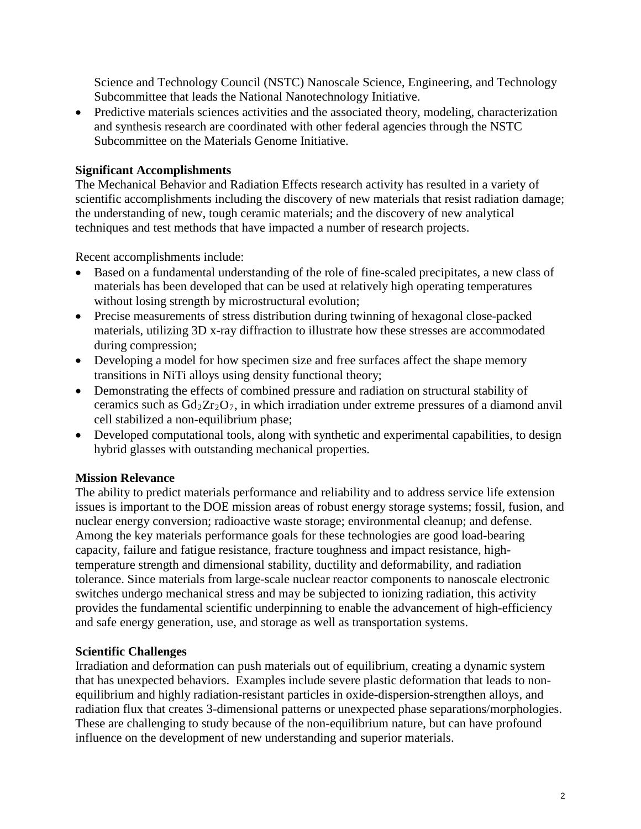Science and Technology Council (NSTC) Nanoscale Science, Engineering, and Technology Subcommittee that leads the National Nanotechnology Initiative.

• Predictive materials sciences activities and the associated theory, modeling, characterization and synthesis research are coordinated with other federal agencies through the NSTC Subcommittee on the Materials Genome Initiative.

## **Significant Accomplishments**

The Mechanical Behavior and Radiation Effects research activity has resulted in a variety of scientific accomplishments including the discovery of new materials that resist radiation damage; the understanding of new, tough ceramic materials; and the discovery of new analytical techniques and test methods that have impacted a number of research projects.

Recent accomplishments include:

- Based on a fundamental understanding of the role of fine-scaled precipitates, a new class of materials has been developed that can be used at relatively high operating temperatures without losing strength by microstructural evolution;
- Precise measurements of stress distribution during twinning of hexagonal close-packed materials, utilizing 3D x-ray diffraction to illustrate how these stresses are accommodated during compression;
- Developing a model for how specimen size and free surfaces affect the shape memory transitions in NiTi alloys using density functional theory;
- Demonstrating the effects of combined pressure and radiation on structural stability of ceramics such as  $Gd_2Zr_2O_7$ , in which irradiation under extreme pressures of a diamond anvil cell stabilized a non-equilibrium phase;
- Developed computational tools, along with synthetic and experimental capabilities, to design hybrid glasses with outstanding mechanical properties.

# **Mission Relevance**

The ability to predict materials performance and reliability and to address service life extension issues is important to the DOE mission areas of robust energy storage systems; fossil, fusion, and nuclear energy conversion; radioactive waste storage; environmental cleanup; and defense. Among the key materials performance goals for these technologies are good load-bearing capacity, failure and fatigue resistance, fracture toughness and impact resistance, hightemperature strength and dimensional stability, ductility and deformability, and radiation tolerance. Since materials from large-scale nuclear reactor components to nanoscale electronic switches undergo mechanical stress and may be subjected to ionizing radiation, this activity provides the fundamental scientific underpinning to enable the advancement of high-efficiency and safe energy generation, use, and storage as well as transportation systems.

### **Scientific Challenges**

Irradiation and deformation can push materials out of equilibrium, creating a dynamic system that has unexpected behaviors. Examples include severe plastic deformation that leads to nonequilibrium and highly radiation-resistant particles in oxide-dispersion-strengthen alloys, and radiation flux that creates 3-dimensional patterns or unexpected phase separations/morphologies. These are challenging to study because of the non-equilibrium nature, but can have profound influence on the development of new understanding and superior materials.